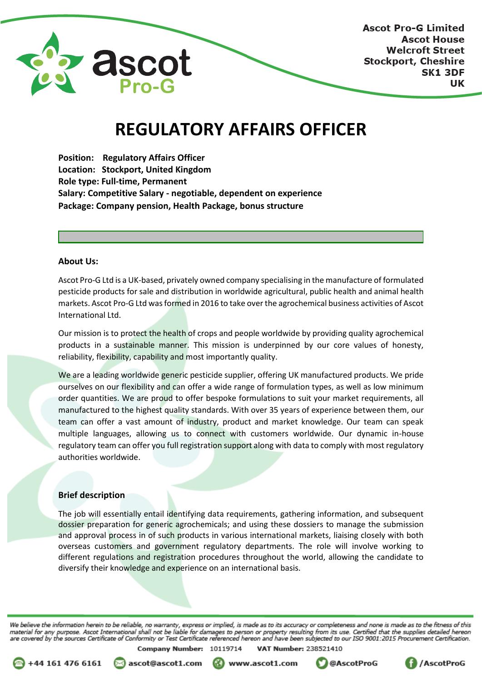

**Ascot Pro-G Limited Ascot House Welcroft Street Stockport, Cheshire SK1 3DF** UK

# **REGULATORY AFFAIRS OFFICER**

**Position: Regulatory Affairs Officer Location: Stockport, United Kingdom Role type: Full-time, Permanent Salary: Competitive Salary - negotiable, dependent on experience Package: Company pension, Health Package, bonus structure**

#### **About Us:**

Ascot Pro-G Ltd is a UK-based, privately owned company specialising in the manufacture of formulated pesticide products for sale and distribution in worldwide agricultural, public health and animal health markets. Ascot Pro-G Ltd was formed in 2016 to take over the agrochemical business activities of Ascot International Ltd.

Our mission is to protect the health of crops and people worldwide by providing quality agrochemical products in a sustainable manner. This mission is underpinned by our core values of honesty, reliability, flexibility, capability and most importantly quality.

We are a leading worldwide generic pesticide supplier, offering UK manufactured products. We pride ourselves on our flexibility and can offer a wide range of formulation types, as well as low minimum order quantities. We are proud to offer bespoke formulations to suit your market requirements, all manufactured to the highest quality standards. With over 35 years of experience between them, our team can offer a vast amount of industry, product and market knowledge. Our team can speak multiple languages, allowing us to connect with customers worldwide. Our dynamic in-house regulatory team can offer you full registration support along with data to comply with most regulatory authorities worldwide.

#### **Brief description**

The job will essentially entail identifying data requirements, gathering information, and subsequent dossier preparation for generic agrochemicals; and using these dossiers to manage the submission and approval process in of such products in various international markets, liaising closely with both overseas customers and government regulatory departments. The role will involve working to different regulations and registration procedures throughout the world, allowing the candidate to diversify their knowledge and experience on an international basis.

We believe the information herein to be reliable, no warranty, express or implied, is made as to its accuracy or completeness and none is made as to the fitness of this material for any purpose. Ascot International shall not be liable for damages to person or property resulting from its use. Certified that the supplies detailed hereon<br>are covered by the sources Certificate of Conformity o **VAT Number: 238521410** Company Number: 10119714



ascot@ascot1.com

www.ascot1.com



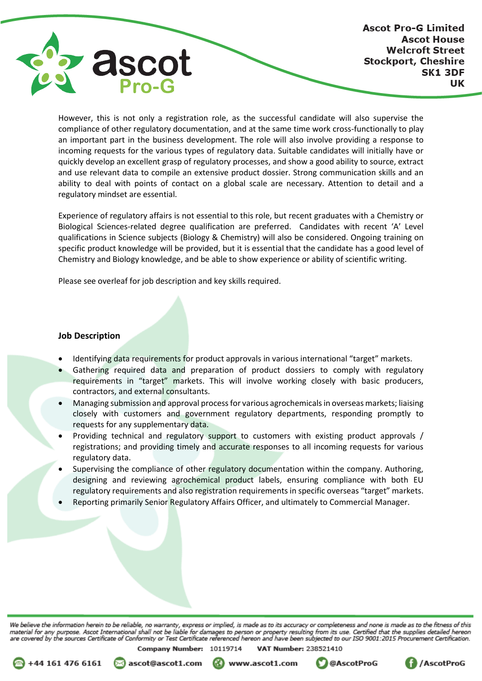

However, this is not only a registration role, as the successful candidate will also supervise the compliance of other regulatory documentation, and at the same time work cross-functionally to play an important part in the business development. The role will also involve providing a response to incoming requests for the various types of regulatory data. Suitable candidates will initially have or quickly develop an excellent grasp of regulatory processes, and show a good ability to source, extract and use relevant data to compile an extensive product dossier. Strong communication skills and an ability to deal with points of contact on a global scale are necessary. Attention to detail and a regulatory mindset are essential.

Experience of regulatory affairs is not essential to this role, but recent graduates with a Chemistry or Biological Sciences-related degree qualification are preferred. Candidates with recent 'A' Level qualifications in Science subjects (Biology & Chemistry) will also be considered. Ongoing training on specific product knowledge will be provided, but it is essential that the candidate has a good level of Chemistry and Biology knowledge, and be able to show experience or ability of scientific writing.

Please see overleaf for job description and key skills required.

### **Job Description**

- Identifying data requirements for product approvals in various international "target" markets.
- Gathering required data and preparation of product dossiers to comply with regulatory requirements in "target" markets. This will involve working closely with basic producers, contractors, and external consultants.
- Managing submission and approval process for various agrochemicals in overseas markets; liaising closely with customers and government regulatory departments, responding promptly to requests for any supplementary data.
- Providing technical and regulatory support to customers with existing product approvals / registrations; and providing timely and accurate responses to all incoming requests for various regulatory data.
- Supervising the compliance of other regulatory documentation within the company. Authoring, designing and reviewing agrochemical product labels, ensuring compliance with both EU regulatory requirements and also registration requirements in specific overseas "target" markets.
- Reporting primarily Senior Regulatory Affairs Officer, and ultimately to Commercial Manager.

We believe the information herein to be reliable, no warranty, express or implied, is made as to its accuracy or completeness and none is made as to the fitness of this material for any purpose. Ascot International shall not be liable for damages to person or property resulting from its use. Certified that the supplies detailed hereon<br>are covered by the sources Certificate of Conformity o

Company Number: 10119714

**VAT Number: 238521410** 



ascot@ascot1.com

www.ascot1.com